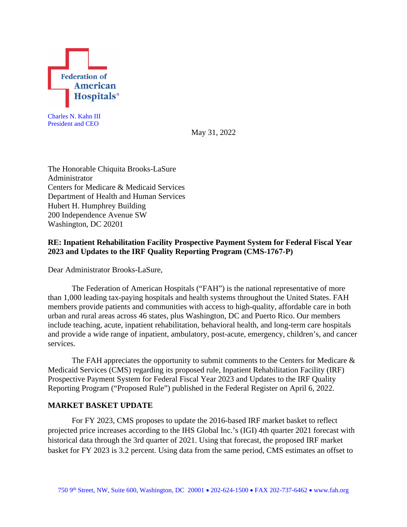

Charles N. Kahn III President and CEO

May 31, 2022

The Honorable Chiquita Brooks-LaSure Administrator Centers for Medicare & Medicaid Services Department of Health and Human Services Hubert H. Humphrey Building 200 Independence Avenue SW Washington, DC 20201

# **RE: Inpatient Rehabilitation Facility Prospective Payment System for Federal Fiscal Year 2023 and Updates to the IRF Quality Reporting Program (CMS-1767-P)**

Dear Administrator Brooks-LaSure,

The Federation of American Hospitals ("FAH") is the national representative of more than 1,000 leading tax-paying hospitals and health systems throughout the United States. FAH members provide patients and communities with access to high-quality, affordable care in both urban and rural areas across 46 states, plus Washington, DC and Puerto Rico. Our members include teaching, acute, inpatient rehabilitation, behavioral health, and long-term care hospitals and provide a wide range of inpatient, ambulatory, post-acute, emergency, children's, and cancer services.

The FAH appreciates the opportunity to submit comments to the Centers for Medicare  $\&$ Medicaid Services (CMS) regarding its proposed rule, Inpatient Rehabilitation Facility (IRF) Prospective Payment System for Federal Fiscal Year 2023 and Updates to the IRF Quality Reporting Program ("Proposed Rule") published in the Federal Register on April 6, 2022.

## **MARKET BASKET UPDATE**

For FY 2023, CMS proposes to update the 2016-based IRF market basket to reflect projected price increases according to the IHS Global Inc.'s (IGI) 4th quarter 2021 forecast with historical data through the 3rd quarter of 2021. Using that forecast, the proposed IRF market basket for FY 2023 is 3.2 percent. Using data from the same period, CMS estimates an offset to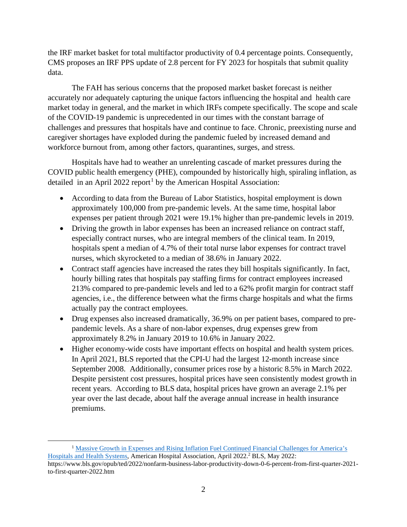the IRF market basket for total multifactor productivity of 0.4 percentage points. Consequently, CMS proposes an IRF PPS update of 2.8 percent for FY 2023 for hospitals that submit quality data.

The FAH has serious concerns that the proposed market basket forecast is neither accurately nor adequately capturing the unique factors influencing the hospital and health care market today in general, and the market in which IRFs compete specifically. The scope and scale of the COVID-19 pandemic is unprecedented in our times with the constant barrage of challenges and pressures that hospitals have and continue to face. Chronic, preexisting nurse and caregiver shortages have exploded during the pandemic fueled by increased demand and workforce burnout from, among other factors, quarantines, surges, and stress.

Hospitals have had to weather an unrelenting cascade of market pressures during the COVID public health emergency (PHE), compounded by historically high, spiraling inflation, as detailed in an April 2022 report<sup>[1](#page-1-0)</sup> by the American Hospital Association:

- According to data from the Bureau of Labor Statistics, hospital employment is down approximately 100,000 from pre-pandemic levels. At the same time, hospital labor expenses per patient through 2021 were 19.1% higher than pre-pandemic levels in 2019.
- Driving the growth in labor expenses has been an increased reliance on contract staff, especially contract nurses, who are integral members of the clinical team. In 2019, hospitals spent a median of 4.7% of their total nurse labor expenses for contract travel nurses, which skyrocketed to a median of 38.6% in January 2022.
- Contract staff agencies have increased the rates they bill hospitals significantly. In fact, hourly billing rates that hospitals pay staffing firms for contract employees increased 213% compared to pre-pandemic levels and led to a 62% profit margin for contract staff agencies, i.e., the difference between what the firms charge hospitals and what the firms actually pay the contract employees.
- Drug expenses also increased dramatically, 36.9% on per patient bases, compared to prepandemic levels. As a share of non-labor expenses, drug expenses grew from approximately 8.2% in January 2019 to 10.6% in January 2022.
- Higher economy-wide costs have important effects on hospital and health system prices. In April 2021, BLS reported that the CPI-U had the largest 12-month increase since September 2008. Additionally, consumer prices rose by a historic 8.5% in March 2022. Despite persistent cost pressures, hospital prices have seen consistently modest growth in recent years. According to BLS data, hospital prices have grown an average 2.1% per year over the last decade, about half the average annual increase in health insurance premiums.

<span id="page-1-0"></span><sup>&</sup>lt;sup>1</sup> Massive Growth in Expenses and Rising Inflation Fuel Continued Financial Challenges for America's [Hospitals and Health Systems,](https://www.aha.org/system/files/media/file/2022/04/2022-Hospital-Expenses-Increase-Report-Final-Final.pdf) American Hospital Association, April 2022.<sup>2</sup> BLS, May 2022: https://www.bls.gov/opub/ted/2022/nonfarm-business-labor-productivity-down-0-6-percent-from-first-quarter-2021 to-first-quarter-2022.htm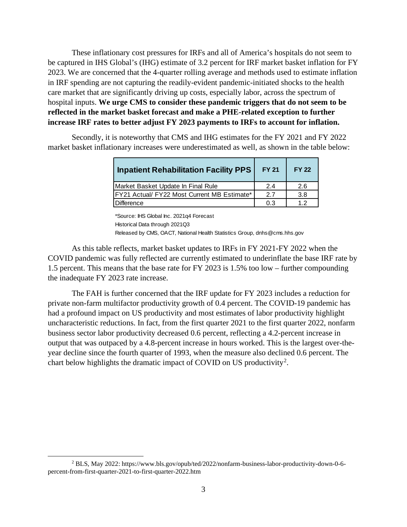These inflationary cost pressures for IRFs and all of America's hospitals do not seem to be captured in IHS Global's (IHG) estimate of 3.2 percent for IRF market basket inflation for FY 2023. We are concerned that the 4-quarter rolling average and methods used to estimate inflation in IRF spending are not capturing the readily-evident pandemic-initiated shocks to the health care market that are significantly driving up costs, especially labor, across the spectrum of hospital inputs. **We urge CMS to consider these pandemic triggers that do not seem to be reflected in the market basket forecast and make a PHE-related exception to further increase IRF rates to better adjust FY 2023 payments to IRFs to account for inflation.**

Secondly, it is noteworthy that CMS and IHG estimates for the FY 2021 and FY 2022 market basket inflationary increases were underestimated as well, as shown in the table below:

| <b>Inpatient Rehabilitation Facility PPS</b>        | <b>FY 21</b> | <b>FY 22</b> |
|-----------------------------------------------------|--------------|--------------|
| Market Basket Update In Final Rule                  | 2.4          | 2.6          |
| <b>IFY21 Actual/ FY22 Most Current MB Estimate*</b> | 2.7          | 3.8          |
| Difference                                          | 0.3          | 12           |

\*Source: IHS Global Inc. 2021q4 Forecast Historical Data through 2021Q3 Released by CMS, OACT, National Health Statistics Group, dnhs@cms.hhs.gov

As this table reflects, market basket updates to IRFs in FY 2021-FY 2022 when the COVID pandemic was fully reflected are currently estimated to underinflate the base IRF rate by 1.5 percent. This means that the base rate for FY 2023 is 1.5% too low – further compounding the inadequate FY 2023 rate increase.

The FAH is further concerned that the IRF update for FY 2023 includes a reduction for private non-farm multifactor productivity growth of 0.4 percent. The COVID-19 pandemic has had a profound impact on US productivity and most estimates of labor productivity highlight uncharacteristic reductions. In fact, from the first quarter 2021 to the first quarter 2022, nonfarm business sector labor productivity decreased 0.6 percent, reflecting a 4.2-percent increase in output that was outpaced by a 4.8-percent increase in hours worked. This is the largest over-theyear decline since the fourth quarter of 1993, when the measure also declined 0.6 percent. The chart below highlights the dramatic impact of COVID on US productivity<sup>[2](#page-2-0)</sup>.

<span id="page-2-0"></span><sup>2</sup> BLS, May 2022: https://www.bls.gov/opub/ted/2022/nonfarm-business-labor-productivity-down-0-6 percent-from-first-quarter-2021-to-first-quarter-2022.htm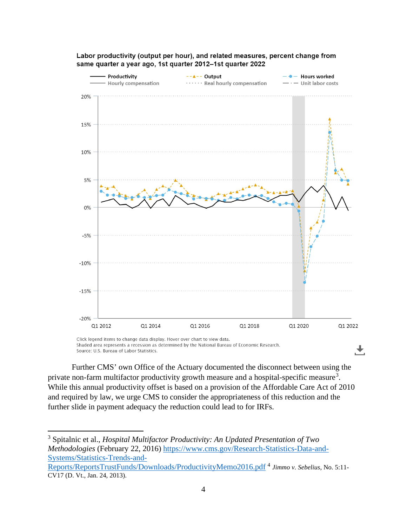

Labor productivity (output per hour), and related measures, percent change from same quarter a year ago, 1st quarter 2012-1st quarter 2022

Shaded area represents a recession as determined by the National Bureau of Economic Research. Source: U.S. Bureau of Labor Statistics.

Further CMS' own Office of the Actuary documented the disconnect between using the private non-farm multifactor productivity growth measure and a hospital-specific measure<sup>[3](#page-3-0)</sup>. While this annual productivity offset is based on a provision of the Affordable Care Act of 2010 and required by law, we urge CMS to consider the appropriateness of this reduction and the further slide in payment adequacy the reduction could lead to for IRFs.

<sup>3</sup> Spitalnic et al., *Hospital Multifactor Productivity: An Updated Presentation of Two Methodologies* (February 22, 2016) [https://www.cms.gov/Research-Statistics-Data-and-](https://www.cms.gov/Research-Statistics-Data-and-Systems/Statistics-Trends-and-Reports/ReportsTrustFunds/Downloads/ProductivityMemo2016.pdf)[Systems/Statistics-Trends-and-](https://www.cms.gov/Research-Statistics-Data-and-Systems/Statistics-Trends-and-Reports/ReportsTrustFunds/Downloads/ProductivityMemo2016.pdf)

<span id="page-3-0"></span>[Reports/ReportsTrustFunds/Downloads/ProductivityMemo2016.pdf](https://www.cms.gov/Research-Statistics-Data-and-Systems/Statistics-Trends-and-Reports/ReportsTrustFunds/Downloads/ProductivityMemo2016.pdf) <sup>4</sup> *Jimmo v. Sebelius*, No. 5:11- CV17 (D. Vt., Jan. 24, 2013).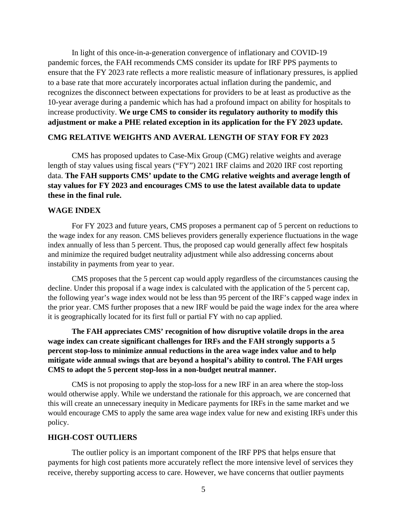In light of this once-in-a-generation convergence of inflationary and COVID-19 pandemic forces, the FAH recommends CMS consider its update for IRF PPS payments to ensure that the FY 2023 rate reflects a more realistic measure of inflationary pressures, is applied to a base rate that more accurately incorporates actual inflation during the pandemic, and recognizes the disconnect between expectations for providers to be at least as productive as the 10-year average during a pandemic which has had a profound impact on ability for hospitals to increase productivity. **We urge CMS to consider its regulatory authority to modify this adjustment or make a PHE related exception in its application for the FY 2023 update.**

#### **CMG RELATIVE WEIGHTS AND AVERAL LENGTH OF STAY FOR FY 2023**

CMS has proposed updates to Case-Mix Group (CMG) relative weights and average length of stay values using fiscal years ("FY") 2021 IRF claims and 2020 IRF cost reporting data. **The FAH supports CMS' update to the CMG relative weights and average length of stay values for FY 2023 and encourages CMS to use the latest available data to update these in the final rule.**

# **WAGE INDEX**

For FY 2023 and future years, CMS proposes a permanent cap of 5 percent on reductions to the wage index for any reason. CMS believes providers generally experience fluctuations in the wage index annually of less than 5 percent. Thus, the proposed cap would generally affect few hospitals and minimize the required budget neutrality adjustment while also addressing concerns about instability in payments from year to year.

CMS proposes that the 5 percent cap would apply regardless of the circumstances causing the decline. Under this proposal if a wage index is calculated with the application of the 5 percent cap, the following year's wage index would not be less than 95 percent of the IRF's capped wage index in the prior year. CMS further proposes that a new IRF would be paid the wage index for the area where it is geographically located for its first full or partial FY with no cap applied.

**The FAH appreciates CMS' recognition of how disruptive volatile drops in the area wage index can create significant challenges for IRFs and the FAH strongly supports a 5 percent stop-loss to minimize annual reductions in the area wage index value and to help mitigate wide annual swings that are beyond a hospital's ability to control. The FAH urges CMS to adopt the 5 percent stop-loss in a non-budget neutral manner.** 

CMS is not proposing to apply the stop-loss for a new IRF in an area where the stop-loss would otherwise apply. While we understand the rationale for this approach, we are concerned that this will create an unnecessary inequity in Medicare payments for IRFs in the same market and we would encourage CMS to apply the same area wage index value for new and existing IRFs under this policy.

#### **HIGH-COST OUTLIERS**

The outlier policy is an important component of the IRF PPS that helps ensure that payments for high cost patients more accurately reflect the more intensive level of services they receive, thereby supporting access to care. However, we have concerns that outlier payments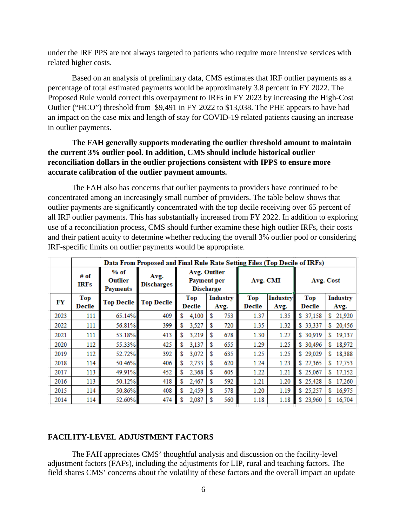under the IRF PPS are not always targeted to patients who require more intensive services with related higher costs.

Based on an analysis of preliminary data, CMS estimates that IRF outlier payments as a percentage of total estimated payments would be approximately 3.8 percent in FY 2022. The Proposed Rule would correct this overpayment to IRFs in FY 2023 by increasing the High-Cost Outlier ("HCO") threshold from \$9,491 in FY 2022 to \$13,038. The PHE appears to have had an impact on the case mix and length of stay for COVID-19 related patients causing an increase in outlier payments.

# **The FAH generally supports moderating the outlier threshold amount to maintain the current 3% outlier pool. In addition, CMS should include historical outlier reconciliation dollars in the outlier projections consistent with IPPS to ensure more accurate calibration of the outlier payment amounts.**

The FAH also has concerns that outlier payments to providers have continued to be concentrated among an increasingly small number of providers. The table below shows that outlier payments are significantly concentrated with the top decile receiving over 65 percent of all IRF outlier payments. This has substantially increased from FY 2022. In addition to exploring use of a reconciliation process, CMS should further examine these high outlier IRFs, their costs and their patient acuity to determine whether reducing the overall 3% outlier pool or considering IRF-specific limits on outlier payments would be appropriate.

|      | Data From Proposed and Final Rule Rate Setting Files (Top Decile of IRFs) |                                      |                           |    |                                                               |    |                         |                             |                         |               |                         |
|------|---------------------------------------------------------------------------|--------------------------------------|---------------------------|----|---------------------------------------------------------------|----|-------------------------|-----------------------------|-------------------------|---------------|-------------------------|
|      | $#$ of<br><b>IRFs</b>                                                     | $%$ of<br><b>Outlier</b><br>Payments | Avg.<br><b>Discharges</b> |    | <b>Avg. Outlier</b><br><b>Payment</b> per<br><b>Discharge</b> |    | Avg. CMI                |                             |                         | Avg. Cost     |                         |
| FY   | Top<br>Decile                                                             | <b>Top Decile</b>                    | <b>Top Decile</b>         |    | Top<br><b>Decile</b>                                          |    | <b>Industry</b><br>Avg. | <b>Top</b><br><b>Decile</b> | <b>Industry</b><br>Avg. | Top<br>Decile | <b>Industry</b><br>Avg. |
| 2023 | 111                                                                       | 65.14%                               | 409                       | \$ | 4,100                                                         | S  | 753                     | 1.37                        | 1.35                    | \$37,158      | 21,920<br>S.            |
| 2022 | 111                                                                       | 56.81%                               | 399                       | \$ | 3,527                                                         | S. | 720                     | 1.35                        | 1.32                    | \$33,337      | 20,456<br>\$            |
| 2021 | 111                                                                       | 53.18%                               | 413                       | \$ | 3,219                                                         | S  | 678                     | 1.30                        | 1.27                    | \$30,919      | 19,137<br>\$            |
| 2020 | 112                                                                       | 55.33%                               | 425                       | \$ | 3,137                                                         | \$ | 655                     | 1.29                        | 1.25                    | \$30,496      | 18,972<br>\$            |
| 2019 | 112                                                                       | 52.72%                               | 392                       | \$ | 3,072                                                         | \$ | 635                     | 1.25                        | 1.25                    | \$29,029      | 18,388<br>\$.           |
| 2018 | 114                                                                       | 50.46%                               | 406                       | \$ | 2,733                                                         | \$ | 620                     | 1.24                        | 1.23                    | \$27,365      | 17,753<br>\$            |
| 2017 | 113                                                                       | 49.91%                               | 452                       | \$ | 2,368                                                         | \$ | 605                     | 1.22                        | 1.21                    | \$25,067      | 17,152<br>\$            |
| 2016 | 113                                                                       | 50.12%                               | 418                       | \$ | 2,467                                                         | \$ | 592                     | 1.21                        | 1.20                    | \$25,428      | 17,260<br>\$            |
| 2015 | 114                                                                       | 50.86%                               | 408                       | \$ | 2,459                                                         | S. | 578                     | 1.20                        | 1.19                    | \$25,257      | 16,975<br>\$            |
| 2014 | 114                                                                       | 52.60%                               | 474                       | \$ | 2,087                                                         | \$ | 560                     | 1.18                        | 1.18                    | \$23,960      | \$<br>16,704            |

#### **FACILITY-LEVEL ADJUSTMENT FACTORS**

The FAH appreciates CMS' thoughtful analysis and discussion on the facility-level adjustment factors (FAFs), including the adjustments for LIP, rural and teaching factors. The field shares CMS' concerns about the volatility of these factors and the overall impact an update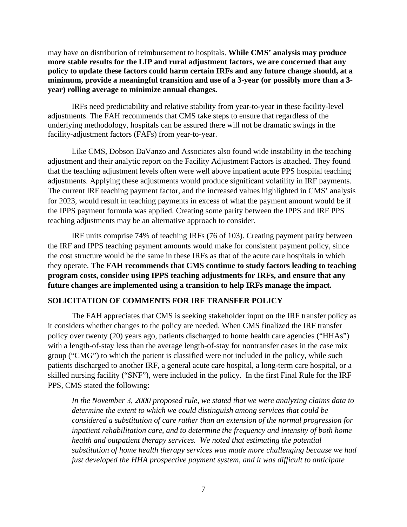may have on distribution of reimbursement to hospitals. **While CMS' analysis may produce more stable results for the LIP and rural adjustment factors, we are concerned that any policy to update these factors could harm certain IRFs and any future change should, at a minimum, provide a meaningful transition and use of a 3-year (or possibly more than a 3 year) rolling average to minimize annual changes.** 

IRFs need predictability and relative stability from year-to-year in these facility-level adjustments. The FAH recommends that CMS take steps to ensure that regardless of the underlying methodology, hospitals can be assured there will not be dramatic swings in the facility-adjustment factors (FAFs) from year-to-year.

Like CMS, Dobson DaVanzo and Associates also found wide instability in the teaching adjustment and their analytic report on the Facility Adjustment Factors is attached. They found that the teaching adjustment levels often were well above inpatient acute PPS hospital teaching adjustments. Applying these adjustments would produce significant volatility in IRF payments. The current IRF teaching payment factor, and the increased values highlighted in CMS' analysis for 2023, would result in teaching payments in excess of what the payment amount would be if the IPPS payment formula was applied. Creating some parity between the IPPS and IRF PPS teaching adjustments may be an alternative approach to consider.

IRF units comprise 74% of teaching IRFs (76 of 103). Creating payment parity between the IRF and IPPS teaching payment amounts would make for consistent payment policy, since the cost structure would be the same in these IRFs as that of the acute care hospitals in which they operate. **The FAH recommends that CMS continue to study factors leading to teaching program costs, consider using IPPS teaching adjustments for IRFs, and ensure that any future changes are implemented using a transition to help IRFs manage the impact.**

## **SOLICITATION OF COMMENTS FOR IRF TRANSFER POLICY**

The FAH appreciates that CMS is seeking stakeholder input on the IRF transfer policy as it considers whether changes to the policy are needed. When CMS finalized the IRF transfer policy over twenty (20) years ago, patients discharged to home health care agencies ("HHAs") with a length-of-stay less than the average length-of-stay for nontransfer cases in the case mix group ("CMG") to which the patient is classified were not included in the policy, while such patients discharged to another IRF, a general acute care hospital, a long-term care hospital, or a skilled nursing facility ("SNF"), were included in the policy. In the first Final Rule for the IRF PPS, CMS stated the following:

*In the November 3, 2000 proposed rule, we stated that we were analyzing claims data to determine the extent to which we could distinguish among services that could be considered a substitution of care rather than an extension of the normal progression for inpatient rehabilitation care, and to determine the frequency and intensity of both home health and outpatient therapy services. We noted that estimating the potential substitution of home health therapy services was made more challenging because we had just developed the HHA prospective payment system, and it was difficult to anticipate*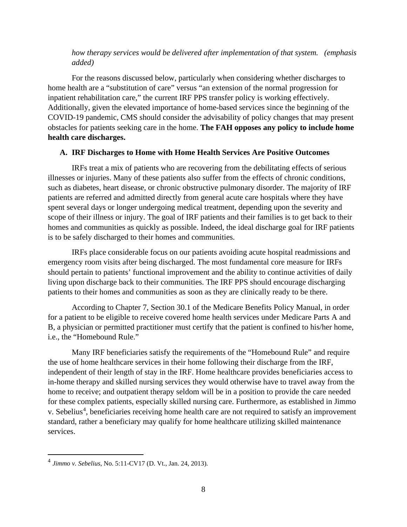# *how therapy services would be delivered after implementation of that system. (emphasis added)*

For the reasons discussed below, particularly when considering whether discharges to home health are a "substitution of care" versus "an extension of the normal progression for inpatient rehabilitation care," the current IRF PPS transfer policy is working effectively. Additionally, given the elevated importance of home-based services since the beginning of the COVID-19 pandemic, CMS should consider the advisability of policy changes that may present obstacles for patients seeking care in the home. **The FAH opposes any policy to include home health care discharges.**

#### **A. IRF Discharges to Home with Home Health Services Are Positive Outcomes**

IRFs treat a mix of patients who are recovering from the debilitating effects of serious illnesses or injuries. Many of these patients also suffer from the effects of chronic conditions, such as diabetes, heart disease, or chronic obstructive pulmonary disorder. The majority of IRF patients are referred and admitted directly from general acute care hospitals where they have spent several days or longer undergoing medical treatment, depending upon the severity and scope of their illness or injury. The goal of IRF patients and their families is to get back to their homes and communities as quickly as possible. Indeed, the ideal discharge goal for IRF patients is to be safely discharged to their homes and communities.

IRFs place considerable focus on our patients avoiding acute hospital readmissions and emergency room visits after being discharged. The most fundamental core measure for IRFs should pertain to patients' functional improvement and the ability to continue activities of daily living upon discharge back to their communities. The IRF PPS should encourage discharging patients to their homes and communities as soon as they are clinically ready to be there.

According to Chapter 7, Section 30.1 of the Medicare Benefits Policy Manual, in order for a patient to be eligible to receive covered home health services under Medicare Parts A and B, a physician or permitted practitioner must certify that the patient is confined to his/her home, i.e., the "Homebound Rule."

Many IRF beneficiaries satisfy the requirements of the "Homebound Rule" and require the use of home healthcare services in their home following their discharge from the IRF, independent of their length of stay in the IRF. Home healthcare provides beneficiaries access to in-home therapy and skilled nursing services they would otherwise have to travel away from the home to receive; and outpatient therapy seldom will be in a position to provide the care needed for these complex patients, especially skilled nursing care. Furthermore, as established in Jimmo v. Sebelius<sup>[4](#page-7-0)</sup>, beneficiaries receiving home health care are not required to satisfy an improvement standard, rather a beneficiary may qualify for home healthcare utilizing skilled maintenance services.

<span id="page-7-0"></span><sup>4</sup> *Jimmo v. Sebelius*, No. 5:11-CV17 (D. Vt., Jan. 24, 2013).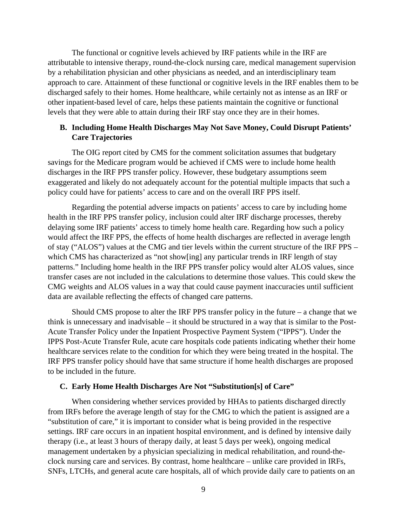The functional or cognitive levels achieved by IRF patients while in the IRF are attributable to intensive therapy, round-the-clock nursing care, medical management supervision by a rehabilitation physician and other physicians as needed, and an interdisciplinary team approach to care. Attainment of these functional or cognitive levels in the IRF enables them to be discharged safely to their homes. Home healthcare, while certainly not as intense as an IRF or other inpatient-based level of care, helps these patients maintain the cognitive or functional levels that they were able to attain during their IRF stay once they are in their homes.

# **B. Including Home Health Discharges May Not Save Money, Could Disrupt Patients' Care Trajectories**

The OIG report cited by CMS for the comment solicitation assumes that budgetary savings for the Medicare program would be achieved if CMS were to include home health discharges in the IRF PPS transfer policy. However, these budgetary assumptions seem exaggerated and likely do not adequately account for the potential multiple impacts that such a policy could have for patients' access to care and on the overall IRF PPS itself.

Regarding the potential adverse impacts on patients' access to care by including home health in the IRF PPS transfer policy, inclusion could alter IRF discharge processes, thereby delaying some IRF patients' access to timely home health care. Regarding how such a policy would affect the IRF PPS, the effects of home health discharges are reflected in average length of stay ("ALOS") values at the CMG and tier levels within the current structure of the IRF PPS – which CMS has characterized as "not show[ing] any particular trends in IRF length of stay patterns." Including home health in the IRF PPS transfer policy would alter ALOS values, since transfer cases are not included in the calculations to determine those values. This could skew the CMG weights and ALOS values in a way that could cause payment inaccuracies until sufficient data are available reflecting the effects of changed care patterns.

Should CMS propose to alter the IRF PPS transfer policy in the future  $-$  a change that we think is unnecessary and inadvisable – it should be structured in a way that is similar to the Post-Acute Transfer Policy under the Inpatient Prospective Payment System ("IPPS"). Under the IPPS Post-Acute Transfer Rule, acute care hospitals code patients indicating whether their home healthcare services relate to the condition for which they were being treated in the hospital. The IRF PPS transfer policy should have that same structure if home health discharges are proposed to be included in the future.

#### **C. Early Home Health Discharges Are Not "Substitution[s] of Care"**

When considering whether services provided by HHAs to patients discharged directly from IRFs before the average length of stay for the CMG to which the patient is assigned are a "substitution of care," it is important to consider what is being provided in the respective settings. IRF care occurs in an inpatient hospital environment, and is defined by intensive daily therapy (i.e., at least 3 hours of therapy daily, at least 5 days per week), ongoing medical management undertaken by a physician specializing in medical rehabilitation, and round-theclock nursing care and services. By contrast, home healthcare – unlike care provided in IRFs, SNFs, LTCHs, and general acute care hospitals, all of which provide daily care to patients on an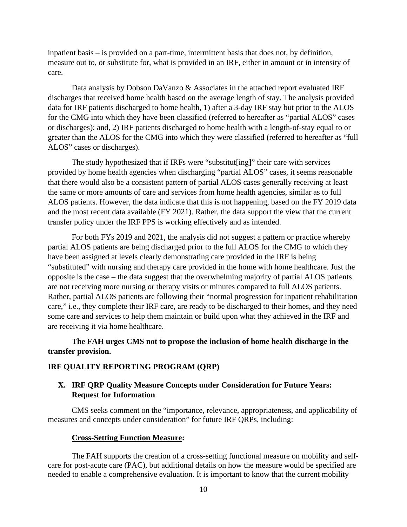inpatient basis – is provided on a part-time, intermittent basis that does not, by definition, measure out to, or substitute for, what is provided in an IRF, either in amount or in intensity of care.

Data analysis by Dobson DaVanzo & Associates in the attached report evaluated IRF discharges that received home health based on the average length of stay. The analysis provided data for IRF patients discharged to home health, 1) after a 3-day IRF stay but prior to the ALOS for the CMG into which they have been classified (referred to hereafter as "partial ALOS" cases or discharges); and, 2) IRF patients discharged to home health with a length-of-stay equal to or greater than the ALOS for the CMG into which they were classified (referred to hereafter as "full ALOS" cases or discharges).

The study hypothesized that if IRFs were "substitut[ing]" their care with services provided by home health agencies when discharging "partial ALOS" cases, it seems reasonable that there would also be a consistent pattern of partial ALOS cases generally receiving at least the same or more amounts of care and services from home health agencies, similar as to full ALOS patients. However, the data indicate that this is not happening, based on the FY 2019 data and the most recent data available (FY 2021). Rather, the data support the view that the current transfer policy under the IRF PPS is working effectively and as intended.

For both FYs 2019 and 2021, the analysis did not suggest a pattern or practice whereby partial ALOS patients are being discharged prior to the full ALOS for the CMG to which they have been assigned at levels clearly demonstrating care provided in the IRF is being "substituted" with nursing and therapy care provided in the home with home healthcare. Just the opposite is the case – the data suggest that the overwhelming majority of partial ALOS patients are not receiving more nursing or therapy visits or minutes compared to full ALOS patients. Rather, partial ALOS patients are following their "normal progression for inpatient rehabilitation care," i.e., they complete their IRF care, are ready to be discharged to their homes, and they need some care and services to help them maintain or build upon what they achieved in the IRF and are receiving it via home healthcare.

# **The FAH urges CMS not to propose the inclusion of home health discharge in the transfer provision.**

#### **IRF QUALITY REPORTING PROGRAM (QRP)**

# **X. IRF QRP Quality Measure Concepts under Consideration for Future Years: Request for Information**

CMS seeks comment on the "importance, relevance, appropriateness, and applicability of measures and concepts under consideration" for future IRF QRPs, including:

#### **Cross-Setting Function Measure:**

The FAH supports the creation of a cross-setting functional measure on mobility and selfcare for post-acute care (PAC), but additional details on how the measure would be specified are needed to enable a comprehensive evaluation. It is important to know that the current mobility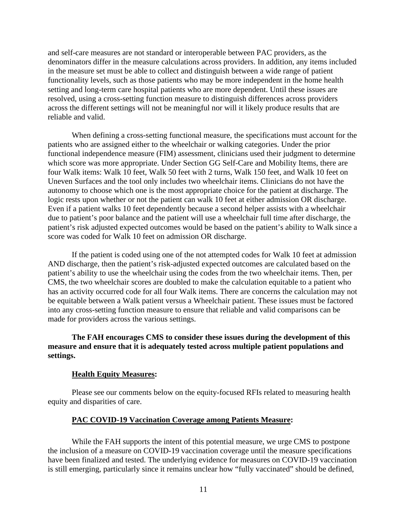and self-care measures are not standard or interoperable between PAC providers, as the denominators differ in the measure calculations across providers. In addition, any items included in the measure set must be able to collect and distinguish between a wide range of patient functionality levels, such as those patients who may be more independent in the home health setting and long-term care hospital patients who are more dependent. Until these issues are resolved, using a cross-setting function measure to distinguish differences across providers across the different settings will not be meaningful nor will it likely produce results that are reliable and valid.

When defining a cross-setting functional measure, the specifications must account for the patients who are assigned either to the wheelchair or walking categories. Under the prior functional independence measure (FIM) assessment, clinicians used their judgment to determine which score was more appropriate. Under Section GG Self-Care and Mobility Items, there are four Walk items: Walk 10 feet, Walk 50 feet with 2 turns, Walk 150 feet, and Walk 10 feet on Uneven Surfaces and the tool only includes two wheelchair items. Clinicians do not have the autonomy to choose which one is the most appropriate choice for the patient at discharge. The logic rests upon whether or not the patient can walk 10 feet at either admission OR discharge. Even if a patient walks 10 feet dependently because a second helper assists with a wheelchair due to patient's poor balance and the patient will use a wheelchair full time after discharge, the patient's risk adjusted expected outcomes would be based on the patient's ability to Walk since a score was coded for Walk 10 feet on admission OR discharge.

If the patient is coded using one of the not attempted codes for Walk 10 feet at admission AND discharge, then the patient's risk-adjusted expected outcomes are calculated based on the patient's ability to use the wheelchair using the codes from the two wheelchair items. Then, per CMS, the two wheelchair scores are doubled to make the calculation equitable to a patient who has an activity occurred code for all four Walk items. There are concerns the calculation may not be equitable between a Walk patient versus a Wheelchair patient. These issues must be factored into any cross-setting function measure to ensure that reliable and valid comparisons can be made for providers across the various settings.

# **The FAH encourages CMS to consider these issues during the development of this measure and ensure that it is adequately tested across multiple patient populations and settings.**

#### **Health Equity Measures:**

Please see our comments below on the equity-focused RFIs related to measuring health equity and disparities of care.

#### **PAC COVID-19 Vaccination Coverage among Patients Measure:**

While the FAH supports the intent of this potential measure, we urge CMS to postpone the inclusion of a measure on COVID-19 vaccination coverage until the measure specifications have been finalized and tested. The underlying evidence for measures on COVID-19 vaccination is still emerging, particularly since it remains unclear how "fully vaccinated" should be defined,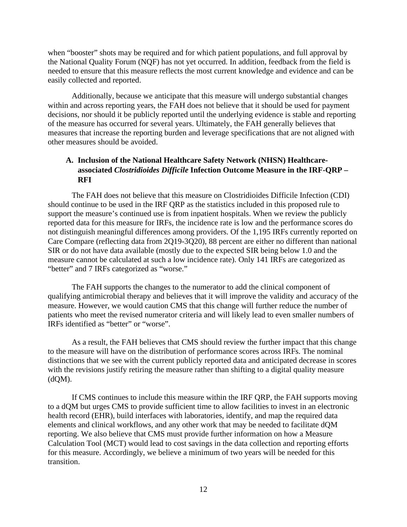when "booster" shots may be required and for which patient populations, and full approval by the National Quality Forum (NQF) has not yet occurred. In addition, feedback from the field is needed to ensure that this measure reflects the most current knowledge and evidence and can be easily collected and reported.

Additionally, because we anticipate that this measure will undergo substantial changes within and across reporting years, the FAH does not believe that it should be used for payment decisions, nor should it be publicly reported until the underlying evidence is stable and reporting of the measure has occurred for several years. Ultimately, the FAH generally believes that measures that increase the reporting burden and leverage specifications that are not aligned with other measures should be avoided.

# **A. Inclusion of the National Healthcare Safety Network (NHSN) Healthcareassociated** *Clostridioides Difficile* **Infection Outcome Measure in the IRF-QRP – RFI**

The FAH does not believe that this measure on Clostridioides Difficile Infection (CDI) should continue to be used in the IRF QRP as the statistics included in this proposed rule to support the measure's continued use is from inpatient hospitals. When we review the publicly reported data for this measure for IRFs, the incidence rate is low and the performance scores do not distinguish meaningful differences among providers. Of the 1,195 IRFs currently reported on Care Compare (reflecting data from 2Q19-3Q20), 88 percent are either no different than national SIR or do not have data available (mostly due to the expected SIR being below 1.0 and the measure cannot be calculated at such a low incidence rate). Only 141 IRFs are categorized as "better" and 7 IRFs categorized as "worse."

The FAH supports the changes to the numerator to add the clinical component of qualifying antimicrobial therapy and believes that it will improve the validity and accuracy of the measure. However, we would caution CMS that this change will further reduce the number of patients who meet the revised numerator criteria and will likely lead to even smaller numbers of IRFs identified as "better" or "worse".

As a result, the FAH believes that CMS should review the further impact that this change to the measure will have on the distribution of performance scores across IRFs. The nominal distinctions that we see with the current publicly reported data and anticipated decrease in scores with the revisions justify retiring the measure rather than shifting to a digital quality measure  $(dQM)$ .

If CMS continues to include this measure within the IRF QRP, the FAH supports moving to a dQM but urges CMS to provide sufficient time to allow facilities to invest in an electronic health record (EHR), build interfaces with laboratories, identify, and map the required data elements and clinical workflows, and any other work that may be needed to facilitate dQM reporting. We also believe that CMS must provide further information on how a Measure Calculation Tool (MCT) would lead to cost savings in the data collection and reporting efforts for this measure. Accordingly, we believe a minimum of two years will be needed for this transition.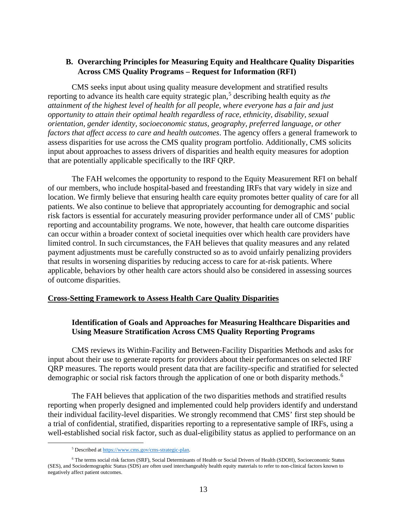# **B. Overarching Principles for Measuring Equity and Healthcare Quality Disparities Across CMS Quality Programs – Request for Information (RFI)**

CMS seeks input about using quality measure development and stratified results reporting to advance its health care equity strategic plan,<sup>[5](#page-12-0)</sup> describing health equity as *the attainment of the highest level of health for all people, where everyone has a fair and just opportunity to attain their optimal health regardless of race, ethnicity, disability, sexual orientation, gender identity, socioeconomic status, geography, preferred language, or other factors that affect access to care and health outcomes*. The agency offers a general framework to assess disparities for use across the CMS quality program portfolio. Additionally, CMS solicits input about approaches to assess drivers of disparities and health equity measures for adoption that are potentially applicable specifically to the IRF QRP.

The FAH welcomes the opportunity to respond to the Equity Measurement RFI on behalf of our members, who include hospital-based and freestanding IRFs that vary widely in size and location. We firmly believe that ensuring health care equity promotes better quality of care for all patients. We also continue to believe that appropriately accounting for demographic and social risk factors is essential for accurately measuring provider performance under all of CMS' public reporting and accountability programs. We note, however, that health care outcome disparities can occur within a broader context of societal inequities over which health care providers have limited control. In such circumstances, the FAH believes that quality measures and any related payment adjustments must be carefully constructed so as to avoid unfairly penalizing providers that results in worsening disparities by reducing access to care for at-risk patients. Where applicable, behaviors by other health care actors should also be considered in assessing sources of outcome disparities.

#### **Cross-Setting Framework to Assess Health Care Quality Disparities**

## **Identification of Goals and Approaches for Measuring Healthcare Disparities and Using Measure Stratification Across CMS Quality Reporting Programs**

CMS reviews its Within-Facility and Between-Facility Disparities Methods and asks for input about their use to generate reports for providers about their performances on selected IRF QRP measures. The reports would present data that are facility-specific and stratified for selected demographic or social risk factors through the application of one or both disparity methods.<sup>[6](#page-12-1)</sup>

The FAH believes that application of the two disparities methods and stratified results reporting when properly designed and implemented could help providers identify and understand their individual facility-level disparities. We strongly recommend that CMS' first step should be a trial of confidential, stratified, disparities reporting to a representative sample of IRFs, using a well-established social risk factor, such as dual-eligibility status as applied to performance on an

<sup>5</sup> Described a[t https://www.cms.gov/cms-strategic-plan.](https://www.cms.gov/cms-strategic-plan)

<span id="page-12-1"></span><span id="page-12-0"></span><sup>6</sup> The terms social risk factors (SRF), Social Determinants of Health or Social Drivers of Health (SDOH), Socioeconomic Status (SES), and Sociodemographic Status (SDS) are often used interchangeably health equity materials to refer to non-clinical factors known to negatively affect patient outcomes.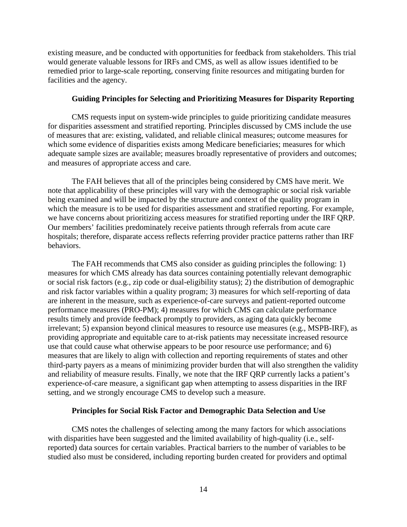existing measure, and be conducted with opportunities for feedback from stakeholders. This trial would generate valuable lessons for IRFs and CMS, as well as allow issues identified to be remedied prior to large-scale reporting, conserving finite resources and mitigating burden for facilities and the agency.

#### **Guiding Principles for Selecting and Prioritizing Measures for Disparity Reporting**

CMS requests input on system-wide principles to guide prioritizing candidate measures for disparities assessment and stratified reporting. Principles discussed by CMS include the use of measures that are: existing, validated, and reliable clinical measures; outcome measures for which some evidence of disparities exists among Medicare beneficiaries; measures for which adequate sample sizes are available; measures broadly representative of providers and outcomes; and measures of appropriate access and care.

The FAH believes that all of the principles being considered by CMS have merit. We note that applicability of these principles will vary with the demographic or social risk variable being examined and will be impacted by the structure and context of the quality program in which the measure is to be used for disparities assessment and stratified reporting. For example, we have concerns about prioritizing access measures for stratified reporting under the IRF QRP. Our members' facilities predominately receive patients through referrals from acute care hospitals; therefore, disparate access reflects referring provider practice patterns rather than IRF behaviors.

The FAH recommends that CMS also consider as guiding principles the following: 1) measures for which CMS already has data sources containing potentially relevant demographic or social risk factors (e.g., zip code or dual-eligibility status); 2) the distribution of demographic and risk factor variables within a quality program; 3) measures for which self-reporting of data are inherent in the measure, such as experience-of-care surveys and patient-reported outcome performance measures (PRO-PM); 4) measures for which CMS can calculate performance results timely and provide feedback promptly to providers, as aging data quickly become irrelevant; 5) expansion beyond clinical measures to resource use measures (e.g., MSPB-IRF), as providing appropriate and equitable care to at-risk patients may necessitate increased resource use that could cause what otherwise appears to be poor resource use performance; and 6) measures that are likely to align with collection and reporting requirements of states and other third-party payers as a means of minimizing provider burden that will also strengthen the validity and reliability of measure results. Finally, we note that the IRF QRP currently lacks a patient's experience-of-care measure, a significant gap when attempting to assess disparities in the IRF setting, and we strongly encourage CMS to develop such a measure.

#### **Principles for Social Risk Factor and Demographic Data Selection and Use**

CMS notes the challenges of selecting among the many factors for which associations with disparities have been suggested and the limited availability of high-quality (i.e., selfreported) data sources for certain variables. Practical barriers to the number of variables to be studied also must be considered, including reporting burden created for providers and optimal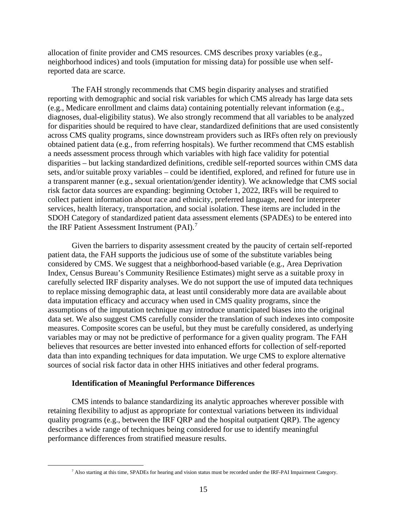allocation of finite provider and CMS resources. CMS describes proxy variables (e.g., neighborhood indices) and tools (imputation for missing data) for possible use when selfreported data are scarce.

The FAH strongly recommends that CMS begin disparity analyses and stratified reporting with demographic and social risk variables for which CMS already has large data sets (e.g., Medicare enrollment and claims data) containing potentially relevant information (e.g., diagnoses, dual-eligibility status). We also strongly recommend that all variables to be analyzed for disparities should be required to have clear, standardized definitions that are used consistently across CMS quality programs, since downstream providers such as IRFs often rely on previously obtained patient data (e.g., from referring hospitals). We further recommend that CMS establish a needs assessment process through which variables with high face validity for potential disparities – but lacking standardized definitions, credible self-reported sources within CMS data sets, and/or suitable proxy variables – could be identified, explored, and refined for future use in a transparent manner (e.g., sexual orientation/gender identity). We acknowledge that CMS social risk factor data sources are expanding: beginning October 1, 2022, IRFs will be required to collect patient information about race and ethnicity, preferred language, need for interpreter services, health literacy, transportation, and social isolation. These items are included in the SDOH Category of standardized patient data assessment elements (SPADEs) to be entered into the IRF Patient Assessment Instrument (PAI). $^7$  $^7$ 

Given the barriers to disparity assessment created by the paucity of certain self-reported patient data, the FAH supports the judicious use of some of the substitute variables being considered by CMS. We suggest that a neighborhood-based variable (e.g., Area Deprivation Index, Census Bureau's Community Resilience Estimates) might serve as a suitable proxy in carefully selected IRF disparity analyses. We do not support the use of imputed data techniques to replace missing demographic data, at least until considerably more data are available about data imputation efficacy and accuracy when used in CMS quality programs, since the assumptions of the imputation technique may introduce unanticipated biases into the original data set. We also suggest CMS carefully consider the translation of such indexes into composite measures. Composite scores can be useful, but they must be carefully considered, as underlying variables may or may not be predictive of performance for a given quality program. The FAH believes that resources are better invested into enhanced efforts for collection of self-reported data than into expanding techniques for data imputation. We urge CMS to explore alternative sources of social risk factor data in other HHS initiatives and other federal programs.

#### **Identification of Meaningful Performance Differences**

CMS intends to balance standardizing its analytic approaches wherever possible with retaining flexibility to adjust as appropriate for contextual variations between its individual quality programs (e.g., between the IRF QRP and the hospital outpatient QRP). The agency describes a wide range of techniques being considered for use to identify meaningful performance differences from stratified measure results.

<span id="page-14-0"></span><sup>7</sup> Also starting at this time, SPADEs for hearing and vision status must be recorded under the IRF-PAI Impairment Category.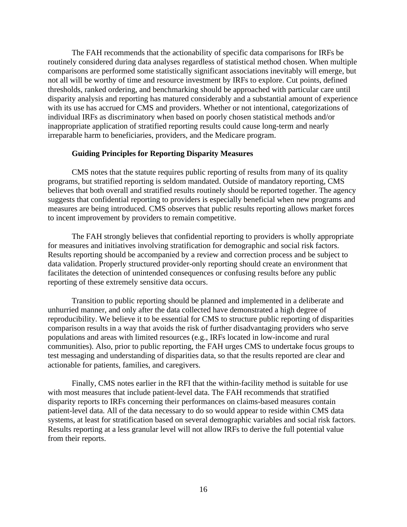The FAH recommends that the actionability of specific data comparisons for IRFs be routinely considered during data analyses regardless of statistical method chosen. When multiple comparisons are performed some statistically significant associations inevitably will emerge, but not all will be worthy of time and resource investment by IRFs to explore. Cut points, defined thresholds, ranked ordering, and benchmarking should be approached with particular care until disparity analysis and reporting has matured considerably and a substantial amount of experience with its use has accrued for CMS and providers. Whether or not intentional, categorizations of individual IRFs as discriminatory when based on poorly chosen statistical methods and/or inappropriate application of stratified reporting results could cause long-term and nearly irreparable harm to beneficiaries, providers, and the Medicare program.

#### **Guiding Principles for Reporting Disparity Measures**

CMS notes that the statute requires public reporting of results from many of its quality programs, but stratified reporting is seldom mandated. Outside of mandatory reporting, CMS believes that both overall and stratified results routinely should be reported together. The agency suggests that confidential reporting to providers is especially beneficial when new programs and measures are being introduced. CMS observes that public results reporting allows market forces to incent improvement by providers to remain competitive.

The FAH strongly believes that confidential reporting to providers is wholly appropriate for measures and initiatives involving stratification for demographic and social risk factors. Results reporting should be accompanied by a review and correction process and be subject to data validation. Properly structured provider-only reporting should create an environment that facilitates the detection of unintended consequences or confusing results before any public reporting of these extremely sensitive data occurs.

Transition to public reporting should be planned and implemented in a deliberate and unhurried manner, and only after the data collected have demonstrated a high degree of reproducibility. We believe it to be essential for CMS to structure public reporting of disparities comparison results in a way that avoids the risk of further disadvantaging providers who serve populations and areas with limited resources (e.g., IRFs located in low-income and rural communities). Also, prior to public reporting, the FAH urges CMS to undertake focus groups to test messaging and understanding of disparities data, so that the results reported are clear and actionable for patients, families, and caregivers.

Finally, CMS notes earlier in the RFI that the within-facility method is suitable for use with most measures that include patient-level data. The FAH recommends that stratified disparity reports to IRFs concerning their performances on claims-based measures contain patient-level data. All of the data necessary to do so would appear to reside within CMS data systems, at least for stratification based on several demographic variables and social risk factors. Results reporting at a less granular level will not allow IRFs to derive the full potential value from their reports.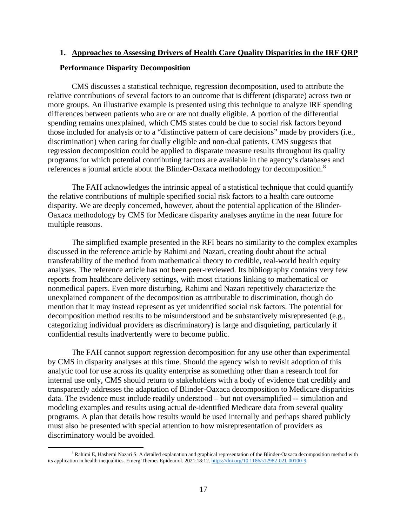#### **1. Approaches to Assessing Drivers of Health Care Quality Disparities in the IRF QRP**

#### **Performance Disparity Decomposition**

CMS discusses a statistical technique, regression decomposition, used to attribute the relative contributions of several factors to an outcome that is different (disparate) across two or more groups. An illustrative example is presented using this technique to analyze IRF spending differences between patients who are or are not dually eligible. A portion of the differential spending remains unexplained, which CMS states could be due to social risk factors beyond those included for analysis or to a "distinctive pattern of care decisions" made by providers (i.e., discrimination) when caring for dually eligible and non-dual patients. CMS suggests that regression decomposition could be applied to disparate measure results throughout its quality programs for which potential contributing factors are available in the agency's databases and references a journal article about the Blinder-Oaxaca methodology for decomposition.[8](#page-16-0)

The FAH acknowledges the intrinsic appeal of a statistical technique that could quantify the relative contributions of multiple specified social risk factors to a health care outcome disparity. We are deeply concerned, however, about the potential application of the Blinder-Oaxaca methodology by CMS for Medicare disparity analyses anytime in the near future for multiple reasons.

The simplified example presented in the RFI bears no similarity to the complex examples discussed in the reference article by Rahimi and Nazari, creating doubt about the actual transferability of the method from mathematical theory to credible, real-world health equity analyses. The reference article has not been peer-reviewed. Its bibliography contains very few reports from healthcare delivery settings, with most citations linking to mathematical or nonmedical papers. Even more disturbing, Rahimi and Nazari repetitively characterize the unexplained component of the decomposition as attributable to discrimination, though do mention that it may instead represent as yet unidentified social risk factors. The potential for decomposition method results to be misunderstood and be substantively misrepresented (e.g., categorizing individual providers as discriminatory) is large and disquieting, particularly if confidential results inadvertently were to become public.

The FAH cannot support regression decomposition for any use other than experimental by CMS in disparity analyses at this time. Should the agency wish to revisit adoption of this analytic tool for use across its quality enterprise as something other than a research tool for internal use only, CMS should return to stakeholders with a body of evidence that credibly and transparently addresses the adaptation of Blinder-Oaxaca decomposition to Medicare disparities data. The evidence must include readily understood – but not oversimplified -- simulation and modeling examples and results using actual de-identified Medicare data from several quality programs. A plan that details how results would be used internally and perhaps shared publicly must also be presented with special attention to how misrepresentation of providers as discriminatory would be avoided.

<span id="page-16-0"></span><sup>&</sup>lt;sup>8</sup> Rahimi E, Hashemi Nazari S. A detailed explanation and graphical representation of the Blinder-Oaxaca decomposition method with its application in health inequalities. Emerg Themes Epidemiol. 2021;18:12. [https://doi.org/10.1186/s12982-021-00100-9.](https://doi.org/10.1186/s12982-021-00100-9)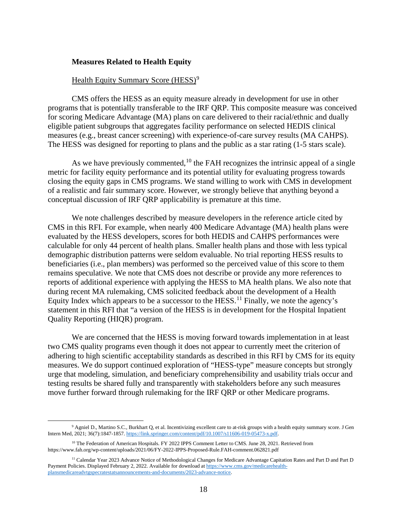#### **Measures Related to Health Equity**

#### Health Equity Summary Score (HESS)<sup>[9](#page-17-0)</sup>

CMS offers the HESS as an equity measure already in development for use in other programs that is potentially transferable to the IRF QRP. This composite measure was conceived for scoring Medicare Advantage (MA) plans on care delivered to their racial/ethnic and dually eligible patient subgroups that aggregates facility performance on selected HEDIS clinical measures (e.g., breast cancer screening) with experience-of-care survey results (MA CAHPS). The HESS was designed for reporting to plans and the public as a star rating (1-5 stars scale).

As we have previously commented,  $10$  the FAH recognizes the intrinsic appeal of a single metric for facility equity performance and its potential utility for evaluating progress towards closing the equity gaps in CMS programs. We stand willing to work with CMS in development of a realistic and fair summary score. However, we strongly believe that anything beyond a conceptual discussion of IRF QRP applicability is premature at this time.

We note challenges described by measure developers in the reference article cited by CMS in this RFI. For example, when nearly 400 Medicare Advantage (MA) health plans were evaluated by the HESS developers, scores for both HEDIS and CAHPS performances were calculable for only 44 percent of health plans. Smaller health plans and those with less typical demographic distribution patterns were seldom evaluable. No trial reporting HESS results to beneficiaries (i.e., plan members) was performed so the perceived value of this score to them remains speculative. We note that CMS does not describe or provide any more references to reports of additional experience with applying the HESS to MA health plans. We also note that during recent MA rulemaking, CMS solicited feedback about the development of a Health Equity Index which appears to be a successor to the HESS.<sup>[11](#page-17-2)</sup> Finally, we note the agency's statement in this RFI that "a version of the HESS is in development for the Hospital Inpatient Quality Reporting (HIQR) program.

We are concerned that the HESS is moving forward towards implementation in at least two CMS quality programs even though it does not appear to currently meet the criterion of adhering to high scientific acceptability standards as described in this RFI by CMS for its equity measures. We do support continued exploration of "HESS-type" measure concepts but strongly urge that modeling, simulation, and beneficiary comprehensibility and usability trials occur and testing results be shared fully and transparently with stakeholders before any such measures move further forward through rulemaking for the IRF QRP or other Medicare programs.

<span id="page-17-0"></span><sup>9</sup> Agniel D., Martino S.C., Burkhart Q, et al. Incentivizing excellent care to at-risk groups with a health equity summary score. J Gen Intern Med, 2021; 36(7):1847-1857[. https://link.springer.com/content/pdf/10.1007/s11606-019-05473-x.pdf.](https://link.springer.com/content/pdf/10.1007/s11606-019-05473-x.pdf) 

<span id="page-17-1"></span><sup>&</sup>lt;sup>10</sup> The Federation of American Hospitals. FY 2022 IPPS Comment Letter to CMS. June 28, 2021. Retrieved from https://www.fah.org/wp-content/uploads/2021/06/FY-2022-IPPS-Proposed-Rule.FAH-comment.062821.pdf

<span id="page-17-2"></span><sup>&</sup>lt;sup>11</sup> Calendar Year 2023 Advance Notice of Methodological Changes for Medicare Advantage Capitation Rates and Part D and Part D Payment Policies. Displayed February 2, 2022. Available for download a[t https://www.cms.gov/medicarehealth](https://www.cms.gov/medicarehealth-plansmedicareadvtgspecratestatsannouncements-and-documents/2023-advance-notice)[plansmedicareadvtgspecratestatsannouncements-and-documents/2023-advance-notice.](https://www.cms.gov/medicarehealth-plansmedicareadvtgspecratestatsannouncements-and-documents/2023-advance-notice)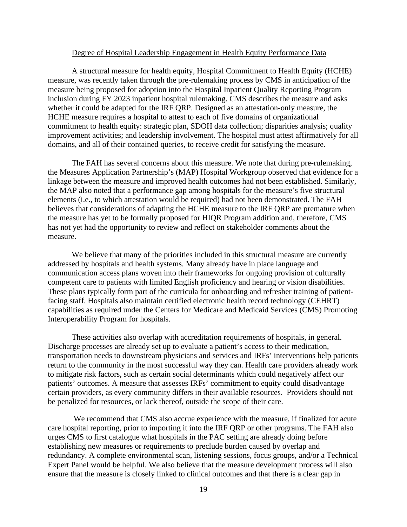#### Degree of Hospital Leadership Engagement in Health Equity Performance Data

A structural measure for health equity, Hospital Commitment to Health Equity (HCHE) measure, was recently taken through the pre-rulemaking process by CMS in anticipation of the measure being proposed for adoption into the Hospital Inpatient Quality Reporting Program inclusion during FY 2023 inpatient hospital rulemaking. CMS describes the measure and asks whether it could be adapted for the IRF QRP. Designed as an attestation-only measure, the HCHE measure requires a hospital to attest to each of five domains of organizational commitment to health equity: strategic plan, SDOH data collection; disparities analysis; quality improvement activities; and leadership involvement. The hospital must attest affirmatively for all domains, and all of their contained queries, to receive credit for satisfying the measure.

The FAH has several concerns about this measure. We note that during pre-rulemaking, the Measures Application Partnership's (MAP) Hospital Workgroup observed that evidence for a linkage between the measure and improved health outcomes had not been established. Similarly, the MAP also noted that a performance gap among hospitals for the measure's five structural elements (i.e., to which attestation would be required) had not been demonstrated. The FAH believes that considerations of adapting the HCHE measure to the IRF QRP are premature when the measure has yet to be formally proposed for HIQR Program addition and, therefore, CMS has not yet had the opportunity to review and reflect on stakeholder comments about the measure.

We believe that many of the priorities included in this structural measure are currently addressed by hospitals and health systems. Many already have in place language and communication access plans woven into their frameworks for ongoing provision of culturally competent care to patients with limited English proficiency and hearing or vision disabilities. These plans typically form part of the curricula for onboarding and refresher training of patientfacing staff. Hospitals also maintain certified electronic health record technology (CEHRT) capabilities as required under the Centers for Medicare and Medicaid Services (CMS) Promoting Interoperability Program for hospitals.

These activities also overlap with accreditation requirements of hospitals, in general. Discharge processes are already set up to evaluate a patient's access to their medication, transportation needs to downstream physicians and services and IRFs' interventions help patients return to the community in the most successful way they can. Health care providers already work to mitigate risk factors, such as certain social determinants which could negatively affect our patients' outcomes. A measure that assesses IRFs' commitment to equity could disadvantage certain providers, as every community differs in their available resources. Providers should not be penalized for resources, or lack thereof, outside the scope of their care.

We recommend that CMS also accrue experience with the measure, if finalized for acute care hospital reporting, prior to importing it into the IRF QRP or other programs. The FAH also urges CMS to first catalogue what hospitals in the PAC setting are already doing before establishing new measures or requirements to preclude burden caused by overlap and redundancy. A complete environmental scan, listening sessions, focus groups, and/or a Technical Expert Panel would be helpful. We also believe that the measure development process will also ensure that the measure is closely linked to clinical outcomes and that there is a clear gap in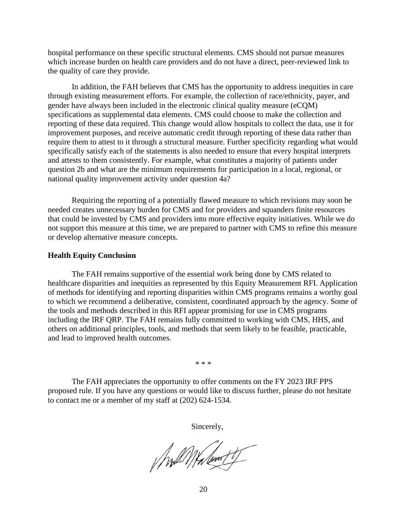hospital performance on these specific structural elements. CMS should not pursue measures which increase burden on health care providers and do not have a direct, peer-reviewed link to the quality of care they provide.

In addition, the FAH believes that CMS has the opportunity to address inequities in care through existing measurement efforts. For example, the collection of race/ethnicity, payer, and gender have always been included in the electronic clinical quality measure (eCQM) specifications as supplemental data elements. CMS could choose to make the collection and reporting of these data required. This change would allow hospitals to collect the data, use it for improvement purposes, and receive automatic credit through reporting of these data rather than require them to attest to it through a structural measure. Further specificity regarding what would specifically satisfy each of the statements is also needed to ensure that every hospital interprets and attests to them consistently. For example, what constitutes a majority of patients under question 2b and what are the minimum requirements for participation in a local, regional, or national quality improvement activity under question 4a?

Requiring the reporting of a potentially flawed measure to which revisions may soon be needed creates unnecessary burden for CMS and for providers and squanders finite resources that could be invested by CMS and providers into more effective equity initiatives. While we do not support this measure at this time, we are prepared to partner with CMS to refine this measure or develop alternative measure concepts.

#### **Health Equity Conclusion**

The FAH remains supportive of the essential work being done by CMS related to healthcare disparities and inequities as represented by this Equity Measurement RFI. Application of methods for identifying and reporting disparities within CMS programs remains a worthy goal to which we recommend a deliberative, consistent, coordinated approach by the agency. Some of the tools and methods described in this RFI appear promising for use in CMS programs including the IRF QRP. The FAH remains fully committed to working with CMS, HHS, and others on additional principles, tools, and methods that seem likely to be feasible, practicable, and lead to improved health outcomes.

\* \* \*

The FAH appreciates the opportunity to offer comments on the FY 2023 IRF PPS proposed rule. If you have any questions or would like to discuss further, please do not hesitate to contact me or a member of my staff at (202) 624-1534.

Sincerely,

//will///h/wat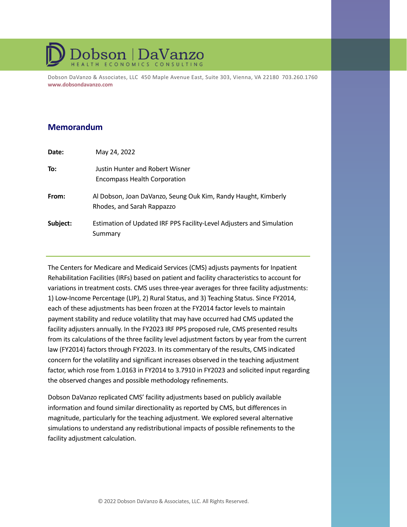# **Dobson DaVanzo**

Dobson DaVanzo & Associates, LLC 450 Maple Avenue East, Suite 303, Vienna, VA 22180 703.260.1760 **www.dobsondavanzo.com**

# **Memorandum**

| Date:    | May 24, 2022                                                                                 |
|----------|----------------------------------------------------------------------------------------------|
| To:      | Justin Hunter and Robert Wisner<br><b>Encompass Health Corporation</b>                       |
| From:    | Al Dobson, Joan DaVanzo, Seung Ouk Kim, Randy Haught, Kimberly<br>Rhodes, and Sarah Rappazzo |
| Subject: | Estimation of Updated IRF PPS Facility-Level Adjusters and Simulation<br>Summary             |

The Centers for Medicare and Medicaid Services (CMS) adjusts payments for Inpatient Rehabilitation Facilities (IRFs) based on patient and facility characteristics to account for variations in treatment costs. CMS uses three-year averages for three facility adjustments: 1) Low-Income Percentage (LIP), 2) Rural Status, and 3) Teaching Status. Since FY2014, each of these adjustments has been frozen at the FY2014 factor levels to maintain payment stability and reduce volatility that may have occurred had CMS updated the facility adjusters annually. In the FY2023 IRF PPS proposed rule, CMS presented results from its calculations of the three facility level adjustment factors by year from the current law (FY2014) factors through FY2023. In its commentary of the results, CMS indicated concern for the volatility and significant increases observed in the teaching adjustment factor, which rose from 1.0163 in FY2014 to 3.7910 in FY2023 and solicited input regarding the observed changes and possible methodology refinements.

Dobson DaVanzo replicated CMS' facility adjustments based on publicly available information and found similar directionality as reported by CMS, but differences in magnitude, particularly for the teaching adjustment. We explored several alternative simulations to understand any redistributional impacts of possible refinements to the facility adjustment calculation.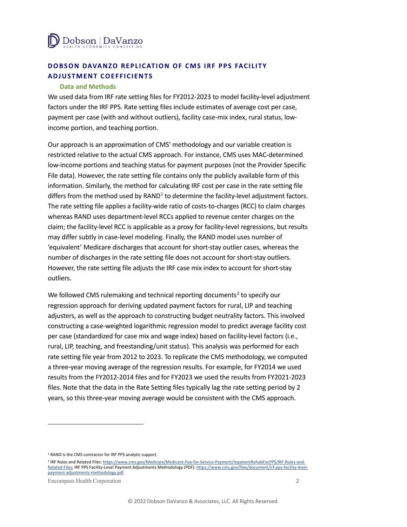

# **DOBSON DAVANZO REPLICATION OF CMS IRF PPS FACILITY ADJUSTMENT COEFFICIENTS**

#### **Data and Methods**

We used data from IRF rate setting files for FY2012-2023 to model facility-level adjustment factors under the IRF PPS. Rate setting files include estimates of average cost per case, payment per case (with and without outliers), facility case-mix index, rural status, lowincome portion, and teaching portion.

Our approach is an approximation of CMS' methodology and our variable creation is restricted relative to the actual CMS approach. For instance, CMS uses MAC-determined low-income portions and teaching status for payment purposes (not the Provider Specific File data). However, the rate setting file contains only the publicly available form of this information. Similarly, the method for calculating IRF cost per case in the rate setting file differs from the method used by  $RAND<sup>1</sup>$  $RAND<sup>1</sup>$  $RAND<sup>1</sup>$  to determine the facility-level adjustment factors. The rate setting file applies a facility-wide ratio of costs-to-charges (RCC) to claim charges whereas RAND uses department-level RCCs applied to revenue center charges on the claim; the facility-level RCC is applicable as a proxy for facility-level regressions, but results may differ subtly in case-level modeling. Finally, the RAND model uses number of 'equivalent' Medicare discharges that account for short-stay outlier cases, whereas the number of discharges in the rate setting file does not account for short-stay outliers. However, the rate setting file adjusts the IRF case mix index to account for short-stay outliers.

We followed CMS rulemaking and technical reporting documents<sup>[2](#page-21-1)</sup> to specify our regression approach for deriving updated payment factors for rural, LIP and teaching adjusters, as well as the approach to constructing budget neutrality factors. This involved constructing a case-weighted logarithmic regression model to predict average facility cost per case (standardized for case mix and wage index) based on facility-level factors (i.e., rural, LIP, teaching, and freestanding/unit status). This analysis was performed for each rate setting file year from 2012 to 2023. To replicate the CMS methodology, we computed a three-year moving average of the regression results. For example, for FY2014 we used results from the FY2012-2014 files and for FY2023 we used the results from FY2021-2023 files. Note that the data in the Rate Setting files typically lag the rate setting period by 2 years, so this three-year moving average would be consistent with the CMS approach.

<span id="page-21-0"></span><sup>1</sup> RAND is the CMS contractor for IRF PPS analytic support.

<span id="page-21-1"></span><sup>2</sup> IRF Rules and Related Files: https://www.cms.gov/Medicare/Medicare-Fee-for-Service-Payment/InpatientRehabFacPPS/IRF-Rules-and-Related-Files; IRF PPS Facility-Level Payment Adjustments Methodology (PDF): https://www.cms.gov/files/document/irf-pps-facility-levelpayment-adjustments-methodology.pdf

Encompass Health Corporation 2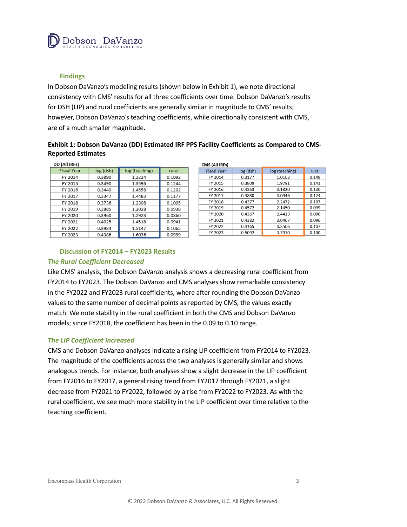

#### **Findings**

In Dobson DaVanzo's modeling results (shown below in Exhibit 1), we note directional consistency with CMS' results for all three coefficients over time. Dobson DaVanzo's results for DSH (LIP) and rural coefficients are generally similar in magnitude to CMS' results; however, Dobson DaVanzo's teaching coefficients, while directionally consistent with CMS, are of a much smaller magnitude.

#### **Exhibit 1: Dobson DaVanzo (DD) Estimated IRF PPS Facility Coefficients as Compared to CMS-Reported Estimates**

| DD (All IRFs)      |           |                |        |
|--------------------|-----------|----------------|--------|
| <b>Fiscal Year</b> | log (dsh) | log (teaching) | rural  |
| FY 2014            | 0.3890    | 1.2224         | 0.1092 |
| FY 2015            | 0.3490    | 1.3596         | 0.1244 |
| FY 2016            | 0.3449    | 1.4558         | 0.1202 |
| FY 2017            | 0.3347    | 1.4483         | 0.1177 |
| FY 2018            | 0.3736    | 1.2308         | 0.1005 |
| FY 2019            | 0.3885    | 1.2028         | 0.0938 |
| FY 2020            | 0.3960    | 1.2928         | 0.0860 |
| FY 2021            | 0.4025    | 1.4518         | 0.0941 |
| FY 2022            | 0.3934    | 1.5147         | 0.1065 |
| FY 2023            | 0.4386    | 1.6036         | 0.0999 |

| CMS (All IRFs)     |             |                |       |
|--------------------|-------------|----------------|-------|
| <b>Fiscal Year</b> | $log$ (dsh) | log (teaching) | rural |
| FY 2014            | 0.3177      | 1.0163         | 0.149 |
| FY 2015            | 0.3809      | 1.9791         | 0.141 |
| FY 2016            | 0.4363      | 3.1820         | 0.130 |
| FY 2017            | 0.3880      | 3.0946         | 0.124 |
| FY 2018            | 0.4377      | 2.2472         | 0.107 |
| FY 2019            | 0.4572      | 2.1450         | 0.099 |
| FY 2020            | 0.4367      | 2.4413         | 0.090 |
| FY 2021            | 0.4382      | 3.0467         | 0.096 |
| FY 2022            | 0.4165      | 3.3506         | 0.107 |
| FY 2023            | 0.5092      | 3.7910         | 0.100 |

#### **Discussion of FY2014 – FY2023 Results**

#### *The Rural Coefficient Decreased*

Like CMS' analysis, the Dobson DaVanzo analysis shows a decreasing rural coefficient from FY2014 to FY2023. The Dobson DaVanzo and CMS analyses show remarkable consistency in the FY2022 and FY2023 rural coefficients, where after rounding the Dobson DaVanzo values to the same number of decimal points as reported by CMS, the values exactly match. We note stability in the rural coefficient in both the CMS and Dobson DaVanzo models; since FY2018, the coefficient has been in the 0.09 to 0.10 range.

#### *The LIP Coefficient Increased*

CMS and Dobson DaVanzo analyses indicate a rising LIP coefficient from FY2014 to FY2023. The magnitude of the coefficients across the two analyses is generally similar and shows analogous trends. For instance, both analyses show a slight decrease in the LIP coefficient from FY2016 to FY2017, a general rising trend from FY2017 through FY2021, a slight decrease from FY2021 to FY2022, followed by a rise from FY2022 to FY2023. As with the rural coefficient, we see much more stability in the LIP coefficient over time relative to the teaching coefficient.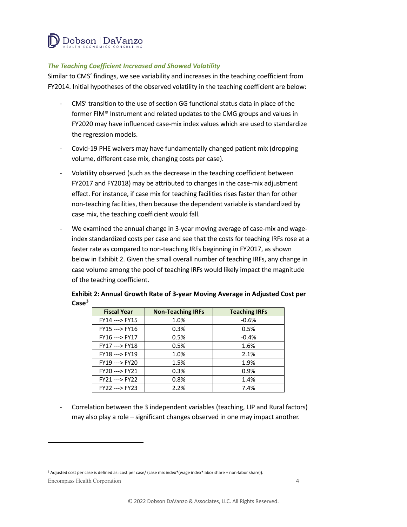

#### *The Teaching Coefficient Increased and Showed Volatility*

Similar to CMS' findings, we see variability and increases in the teaching coefficient from FY2014. Initial hypotheses of the observed volatility in the teaching coefficient are below:

- CMS' transition to the use of section GG functional status data in place of the former FIM® Instrument and related updates to the CMG groups and values in FY2020 may have influenced case-mix index values which are used to standardize the regression models.
- Covid-19 PHE waivers may have fundamentally changed patient mix (dropping volume, different case mix, changing costs per case).
- Volatility observed (such as the decrease in the teaching coefficient between FY2017 and FY2018) may be attributed to changes in the case-mix adjustment effect. For instance, if case mix for teaching facilities rises faster than for other non-teaching facilities, then because the dependent variable is standardized by case mix, the teaching coefficient would fall.
- We examined the annual change in 3-year moving average of case-mix and wageindex standardized costs per case and see that the costs for teaching IRFs rose at a faster rate as compared to non-teaching IRFs beginning in FY2017, as shown below in Exhibit 2. Given the small overall number of teaching IRFs, any change in case volume among the pool of teaching IRFs would likely impact the magnitude of the teaching coefficient.

| <b>Fiscal Year</b> | <b>Non-Teaching IRFs</b> | <b>Teaching IRFs</b> |
|--------------------|--------------------------|----------------------|
| FY14 ---> FY15     | 1.0%                     | $-0.6%$              |
| FY15 ---> FY16     | 0.3%                     | 0.5%                 |
| FY16 ---> FY17     | 0.5%                     | $-0.4%$              |
| FY17 ---> FY18     | 0.5%                     | 1.6%                 |
| FY18 ---> FY19     | 1.0%                     | 2.1%                 |
| FY19 ---> FY20     | 1.5%                     | 1.9%                 |
| FY20 ---> FY21     | 0.3%                     | 0.9%                 |
| FY21 ---> FY22     | 0.8%                     | 1.4%                 |
| FY22 ---> FY23     | 2.2%                     | 7.4%                 |

## **Exhibit 2: Annual Growth Rate of 3-year Moving Average in Adjusted Cost per Case[3](#page-23-0)**

Correlation between the 3 independent variables (teaching, LIP and Rural factors) may also play a role – significant changes observed in one may impact another.

<span id="page-23-0"></span>Encompass Health Corporation 4 <sup>3</sup> Adjusted cost per case is defined as: cost per case/ (case mix index\*(wage index\*labor share + non-labor share)).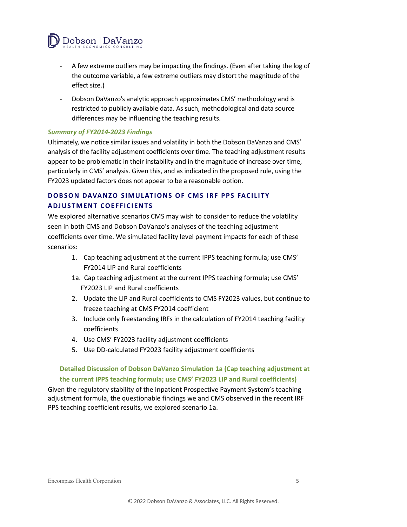

- A few extreme outliers may be impacting the findings. (Even after taking the log of the outcome variable, a few extreme outliers may distort the magnitude of the effect size.)
- Dobson DaVanzo's analytic approach approximates CMS' methodology and is restricted to publicly available data. As such, methodological and data source differences may be influencing the teaching results.

#### *Summary of FY2014-2023 Findings*

Ultimately, we notice similar issues and volatility in both the Dobson DaVanzo and CMS' analysis of the facility adjustment coefficients over time. The teaching adjustment results appear to be problematic in their instability and in the magnitude of increase over time, particularly in CMS' analysis. Given this, and as indicated in the proposed rule, using the FY2023 updated factors does not appear to be a reasonable option.

# **DOBSON DAVANZO SIMULATIONS OF CMS IRF PPS FACILITY ADJUSTMENT COEFFICIENTS**

We explored alternative scenarios CMS may wish to consider to reduce the volatility seen in both CMS and Dobson DaVanzo's analyses of the teaching adjustment coefficients over time. We simulated facility level payment impacts for each of these scenarios:

- 1. Cap teaching adjustment at the current IPPS teaching formula; use CMS' FY2014 LIP and Rural coefficients
- 1a. Cap teaching adjustment at the current IPPS teaching formula; use CMS' FY2023 LIP and Rural coefficients
- 2. Update the LIP and Rural coefficients to CMS FY2023 values, but continue to freeze teaching at CMS FY2014 coefficient
- 3. Include only freestanding IRFs in the calculation of FY2014 teaching facility coefficients
- 4. Use CMS' FY2023 facility adjustment coefficients
- 5. Use DD-calculated FY2023 facility adjustment coefficients

## **Detailed Discussion of Dobson DaVanzo Simulation 1a (Cap teaching adjustment at the current IPPS teaching formula; use CMS' FY2023 LIP and Rural coefficients)**

Given the regulatory stability of the Inpatient Prospective Payment System's teaching adjustment formula, the questionable findings we and CMS observed in the recent IRF PPS teaching coefficient results, we explored scenario 1a.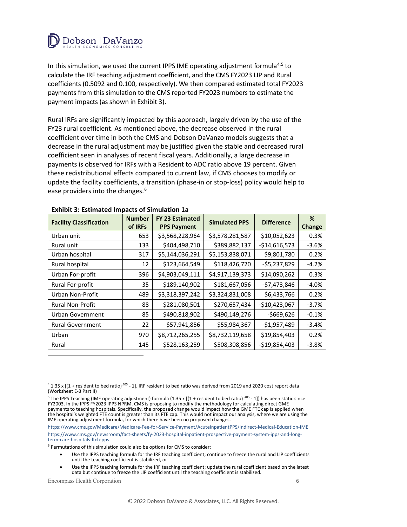

In this simulation, we used the current IPPS IME operating adjustment formula<sup>[4,](#page-25-0)[5](#page-25-1)</sup> to calculate the IRF teaching adjustment coefficient, and the CMS FY2023 LIP and Rural coefficients (0.5092 and 0.100, respectively). We then compared estimated total FY2023 payments from this simulation to the CMS reported FY2023 numbers to estimate the payment impacts (as shown in Exhibit 3).

Rural IRFs are significantly impacted by this approach, largely driven by the use of the FY23 rural coefficient. As mentioned above, the decrease observed in the rural coefficient over time in both the CMS and Dobson DaVanzo models suggests that a decrease in the rural adjustment may be justified given the stable and decreased rural coefficient seen in analyses of recent fiscal years. Additionally, a large decrease in payments is observed for IRFs with a Resident to ADC ratio above 19 percent. Given these redistributional effects compared to current law, if CMS chooses to modify or update the facility coefficients, a transition (phase-in or stop-loss) policy would help to ease providers into the changes.<sup>[6](#page-25-2)</sup>

| <b>Facility Classification</b> | <b>Number</b><br>of IRFs | <b>FY 23 Estimated</b><br><b>PPS Payment</b> | <b>Simulated PPS</b> | <b>Difference</b> | %<br><b>Change</b> |
|--------------------------------|--------------------------|----------------------------------------------|----------------------|-------------------|--------------------|
| Urban unit                     | 653                      | \$3,568,228,964                              | \$3,578,281,587      | \$10,052,623      | 0.3%               |
| Rural unit                     | 133                      | \$404,498,710                                | \$389,882,137        | $-$14,616,573$    | $-3.6%$            |
| Urban hospital                 | 317                      | \$5,144,036,291                              | \$5,153,838,071      | \$9,801,780       | 0.2%               |
| Rural hospital                 | 12                       | \$123,664,549                                | \$118,426,720        | $-$5,237,829$     | $-4.2%$            |
| Urban For-profit               | 396                      | \$4,903,049,111                              | \$4,917,139,373      | \$14,090,262      | 0.3%               |
| Rural For-profit               | 35                       | \$189,140,902                                | \$181,667,056        | $-$7,473,846$     | $-4.0%$            |
| Urban Non-Profit               | 489                      | \$3,318,397,242                              | \$3,324,831,008      | \$6,433,766       | 0.2%               |
| <b>Rural Non-Profit</b>        | 88                       | \$281,080,501                                | \$270,657,434        | $-$10,423,067$    | $-3.7%$            |
| Urban Government               | 85                       | \$490,818,902                                | \$490,149,276        | $-$669,626$       | $-0.1%$            |
| <b>Rural Government</b>        | 22                       | \$57,941,856                                 | \$55,984,367         | $-$1,957,489$     | $-3.4%$            |
| Urban                          | 970                      | \$8,712,265,255                              | \$8,732,119,658      | \$19,854,403      | 0.2%               |
| Rural                          | 145                      | \$528,163,259                                | \$508,308,856        | $-$19,854,403$    | $-3.8%$            |

#### **Exhibit 3: Estimated Impacts of Simulation 1a**

<span id="page-25-0"></span> $41.35$  x [(1 + resident to bed ratio)<sup>405</sup> - 1]. IRF resident to bed ratio was derived from 2019 and 2020 cost report data (Worksheet E-3 Part II)

<span id="page-25-1"></span><sup>5</sup> The IPPS Teaching (IME operating adjustment) formula (1.35 x [(1 + resident to bed ratio)<sup>405</sup> - 1]) has been static since FY2003. In the IPPS FY2023 IPPS NPRM, CMS is proposing to modify the methodology for calculating direct GME payments to teaching hospitals. Specifically, the proposed change would impact how the GME FTE cap is applied when the hospital's weighted FTE count is greater than its FTE cap. This would not impact our analysis, where we are using the IME operating adjustment formula, for which there have been no proposed changes.

https://www.cms.gov/Medicare/Medicare-Fee-for-Service-Payment/AcuteInpatientPPS/Indirect-Medical-Education-IME https://www.cms.gov/newsroom/fact-sheets/fy-2023-hospital-inpatient-prospective-payment-system-ipps-and-longterm-care-hospitals-ltch-pps

<span id="page-25-2"></span> $6$  Permutations of this simulation could also be options for CMS to consider:

- Use the IPPS teaching formula for the IRF teaching coefficient; continue to freeze the rural and LIP coefficients until the teaching coefficient is stabilized, or
- Use the IPPS teaching formula for the IRF teaching coefficient; update the rural coefficient based on the latest data but continue to freeze the LIP coefficient until the teaching coefficient is stabilized.

Encompass Health Corporation 6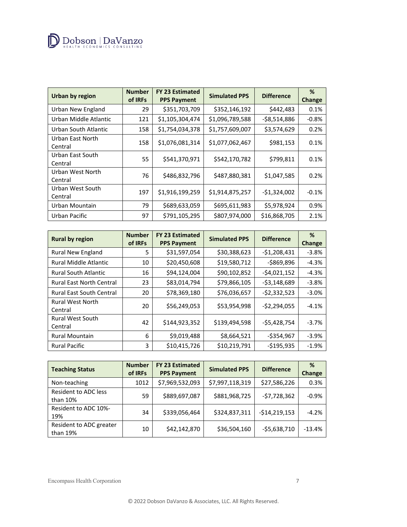

| <b>Urban by region</b>      | <b>Number</b><br>of IRFs | FY 23 Estimated<br><b>PPS Payment</b> | <b>Simulated PPS</b> | <b>Difference</b> | %<br>Change |
|-----------------------------|--------------------------|---------------------------------------|----------------------|-------------------|-------------|
| Urban New England           | 29                       | \$351,703,709                         | \$352,146,192        | \$442,483         | 0.1%        |
| Urban Middle Atlantic       | 121                      | \$1,105,304,474                       | \$1,096,789,588      | $-58,514,886$     | $-0.8%$     |
| Urban South Atlantic        | 158                      | \$1,754,034,378                       | \$1,757,609,007      | \$3,574,629       | 0.2%        |
| Urban East North<br>Central | 158                      | \$1,076,081,314                       | \$1,077,062,467      | \$981,153         | 0.1%        |
| Urban East South<br>Central | 55                       | \$541,370,971                         | \$542,170,782        | \$799,811         | 0.1%        |
| Urban West North<br>Central | 76                       | \$486,832,796                         | \$487,880,381        | \$1,047,585       | 0.2%        |
| Urban West South<br>Central | 197                      | \$1,916,199,259                       | \$1,914,875,257      | $-$1,324,002$     | $-0.1%$     |
| Urban Mountain              | 79                       | \$689,633,059                         | \$695,611,983        | \$5,978,924       | 0.9%        |
| Urban Pacific               | 97                       | \$791,105,295                         | \$807,974,000        | \$16,868,705      | 2.1%        |

| <b>Rural by region</b>             | <b>Number</b><br>of IRFs | <b>FY 23 Estimated</b><br><b>PPS Payment</b> | <b>Simulated PPS</b> | <b>Difference</b> | %<br><b>Change</b> |
|------------------------------------|--------------------------|----------------------------------------------|----------------------|-------------------|--------------------|
| Rural New England                  | 5                        | \$31,597,054                                 | \$30,388,623         | $-$1,208,431$     | $-3.8%$            |
| <b>Rural Middle Atlantic</b>       | 10                       | \$20,450,608                                 | \$19,580,712         | -\$869,896        | $-4.3%$            |
| <b>Rural South Atlantic</b>        | 16                       | \$94,124,004                                 | \$90,102,852         | $-$4,021,152$     | $-4.3%$            |
| <b>Rural East North Central</b>    | 23                       | \$83,014,794                                 | \$79,866,105         | $-53,148,689$     | $-3.8%$            |
| <b>Rural East South Central</b>    | 20                       | \$78,369,180                                 | \$76,036,657         | $-$2,332,523$     | $-3.0%$            |
| <b>Rural West North</b><br>Central | 20                       | \$56,249,053                                 | \$53,954,998         | $-52,294,055$     | $-4.1%$            |
| <b>Rural West South</b><br>Central | 42                       | \$144,923,352                                | \$139,494,598        | $-55,428,754$     | $-3.7%$            |
| <b>Rural Mountain</b>              | 6                        | \$9,019,488                                  | \$8,664,521          | $-$354,967$       | $-3.9%$            |
| <b>Rural Pacific</b>               | 3                        | \$10,415,726                                 | \$10,219,791         | $-$195,935$       | $-1.9%$            |

| <b>Teaching Status</b>                  | <b>Number</b><br>of IRFs | <b>FY 23 Estimated</b><br><b>PPS Payment</b> | <b>Simulated PPS</b> | <b>Difference</b> | %<br><b>Change</b> |
|-----------------------------------------|--------------------------|----------------------------------------------|----------------------|-------------------|--------------------|
| Non-teaching                            | 1012                     | \$7,969,532,093                              | \$7,997,118,319      | \$27,586,226      | 0.3%               |
| <b>Resident to ADC less</b><br>than 10% | 59                       | \$889,697,087                                | \$881,968,725        | $-57,728,362$     | $-0.9%$            |
| Resident to ADC 10%-<br>19%             | 34                       | \$339,056,464                                | \$324,837,311        | $-$14,219,153$    | $-4.2%$            |
| Resident to ADC greater<br>than 19%     | 10                       | \$42,142,870                                 | \$36,504,160         | $-55,638,710$     | $-13.4%$           |